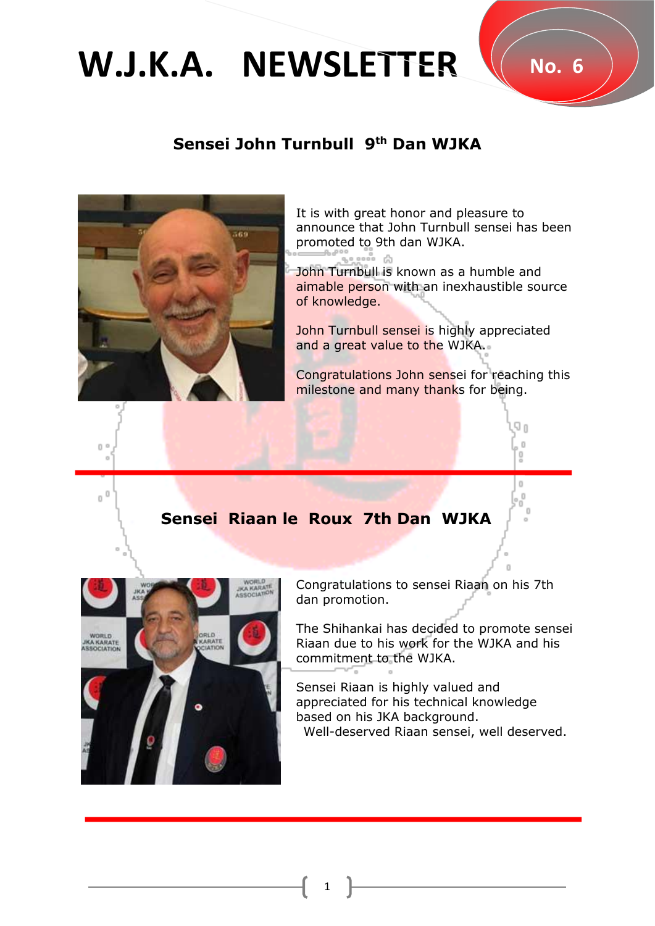## **W.J.K.A. NEWSLETTER** W.No. 6

## **Sensei John Turnbull 9 th Dan WJKA**



It is with great honor and pleasure to announce that John Turnbull sensei has been promoted to 9th dan WJKA.

John Turnbull is known as a humble and aimable person with an inexhaustible source of knowledge.

John Turnbull sensei is highly appreciated and a great value to the WJKA.

Congratulations John sensei for reaching this milestone and many thanks for being.

## **Sensei Riaan le Roux 7th Dan WJKA**



Congratulations to sensei Riaan on his 7th dan promotion.

The Shihankai has decided to promote sensei Riaan due to his work for the WJKA and his commitment to the WJKA.

Sensei Riaan is highly valued and appreciated for his technical knowledge based on his JKA background. Well-deserved Riaan sensei, well deserved.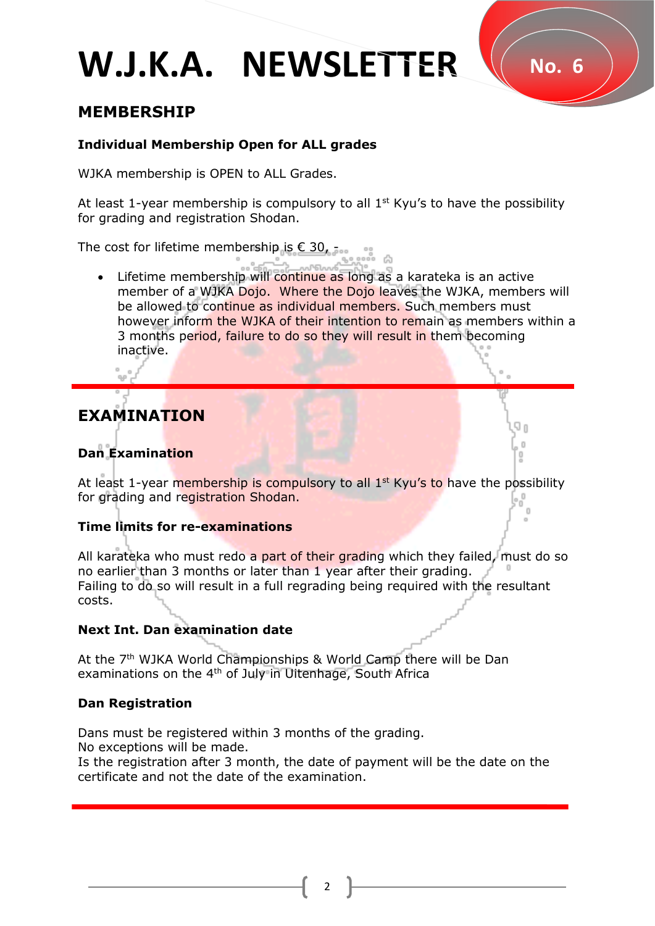# **W.J.K.A. NEWSLETTER** W No. 6

## **MEMBERSHIP**

## **Individual Membership Open for ALL grades**

WJKA membership is OPEN to ALL Grades.

At least 1-year membership is compulsory to all  $1<sup>st</sup>$  Kyu's to have the possibility for grading and registration Shodan.

The cost for lifetime membership is  $\epsilon$  30, -

• Lifetime membership will continue as long as a karateka is an active member of a WJKA Dojo. Where the Dojo leaves the WJKA, members will be allowed to continue as individual members. Such members must however inform the WJKA of their intention to remain as members within a 3 months period, failure to do so they will result in them becoming inactive.

## **EXAMINATION**

## **Dan Examination**

At least 1-year membership is compulsory to all  $1<sup>st</sup>$  Kyu's to have the possibility for grading and registration Shodan.

### **Time limits for re-examinations**

All karateka who must redo a part of their grading which they failed, must do so no earlier than 3 months or later than 1 year after their grading. Failing to do so will result in a full regrading being required with the resultant costs.

### **Next Int. Dan examination date**

At the 7<sup>th</sup> WJKA World Championships & World Camp there will be Dan examinations on the 4<sup>th</sup> of July in Uitenhage, South Africa

## **Dan Registration**

Dans must be registered within 3 months of the grading. No exceptions will be made.

Is the registration after 3 month, the date of payment will be the date on the certificate and not the date of the examination.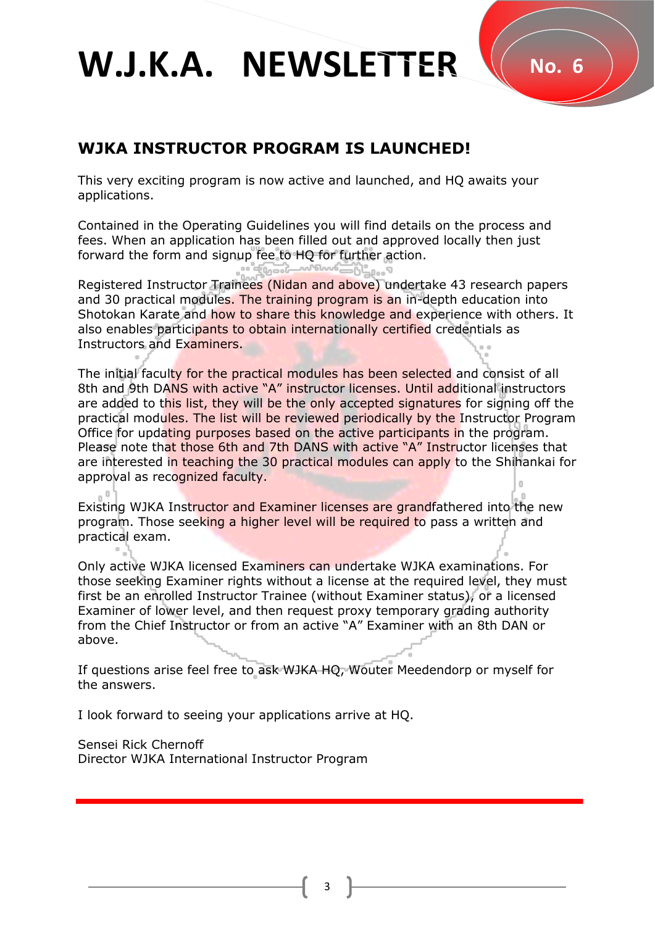## **W.J.K.A. NEWSLETTER** W No. 6

## **WJKA INSTRUCTOR PROGRAM IS LAUNCHED!**

This very exciting program is now active and launched, and HQ awaits your applications.

Contained in the Operating Guidelines you will find details on the process and fees. When an application has been filled out and approved locally then just forward the form and signup fee to HQ for further action.

Registered Instructor Trainees (Nidan and above) undertake 43 research papers and 30 practical modules. The training program is an in-depth education into Shotokan Karate and how to share this knowledge and experience with others. It also enables participants to obtain internationally certified credentials as Instructors and Examiners.

The initial faculty for the practical modules has been selected and consist of all 8th and 9th DANS with active "A" instructor licenses. Until additional instructors are added to this list, they will be the only accepted signatures for signing off the practical modules. The list will be reviewed periodically by the Instructor Program Office for updating purposes based on the active participants in the program. Please note that those 6th and 7th DANS with active "A" Instructor licenses that are interested in teaching the 30 practical modules can apply to the Shihankai for approval as recognized faculty.

Existing WJKA Instructor and Examiner licenses are grandfathered into the new program. Those seeking a higher level will be required to pass a written and practical exam.

Only active WJKA licensed Examiners can undertake WJKA examinations. For those seeking Examiner rights without a license at the required level, they must first be an enrolled Instructor Trainee (without Examiner status), or a licensed Examiner of lower level, and then request proxy temporary grading authority from the Chief Instructor or from an active "A" Examiner with an 8th DAN or above.

If questions arise feel free to ask WJKA HQ, Wouter Meedendorp or myself for the answers.

I look forward to seeing your applications arrive at HQ.

Sensei Rick Chernoff Director WJKA International Instructor Program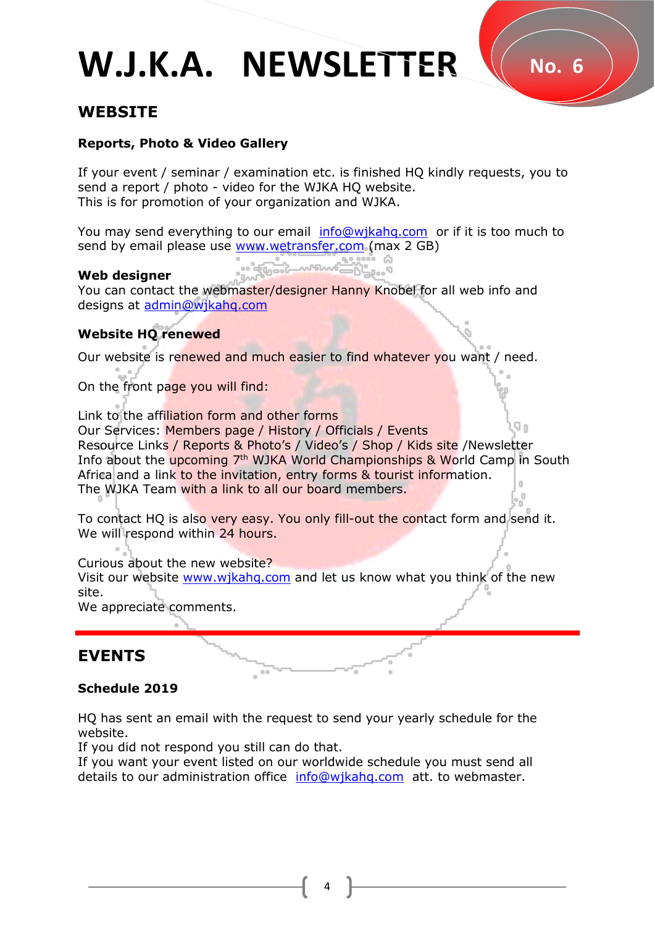# **W.J.K.A. NEWSLETTER** W No. 6

## **WEBSITE**

### **Reports, Photo & Video Gallery**

If your event / seminar / examination etc. is finished HQ kindly requests, you to send a report / photo - video for the WJKA HO website. This is for promotion of your organization and WJKA.

You may send everything to our email [info@wjkahq.com](mailto:info@wjkahq.com) or if it is too much to send by email please use [www.wetransfer.com](http://www.wetransfer.com/) (max 2 GB)

#### **Web designer**

You can contact the webmaster/designer Hanny Knobel for all web info and designs at [admin@wjkahq.com](mailto:admin@wjkahq.com)

#### **Website HQ renewed**

Our website is renewed and much easier to find whatever you want / need.

On the front page you will find:

Link to the affiliation form and other forms Our Services: Members page / History / Officials / Events Resource Links / Reports & Photo's / Video's / Shop / Kids site /Newsletter Info about the upcoming 7<sup>th</sup> WJKA World Championships & World Camp in South Africa and a link to the invitation, entry forms & tourist information. The WJKA Team with a link to all our board members.

To contact HQ is also very easy. You only fill-out the contact form and send it. We will respond within 24 hours.

Curious about the new website?

Visit our website [www.wjkahq.com](http://www.wjkahq.com/) and let us know what you think of the new site.

We appreciate comments.

## **EVENTS**

### **Schedule 2019**

HQ has sent an email with the request to send your yearly schedule for the website.

If you did not respond you still can do that.

If you want your event listed on our worldwide schedule you must send all details to our administration office info@wikahq.com att. to webmaster.